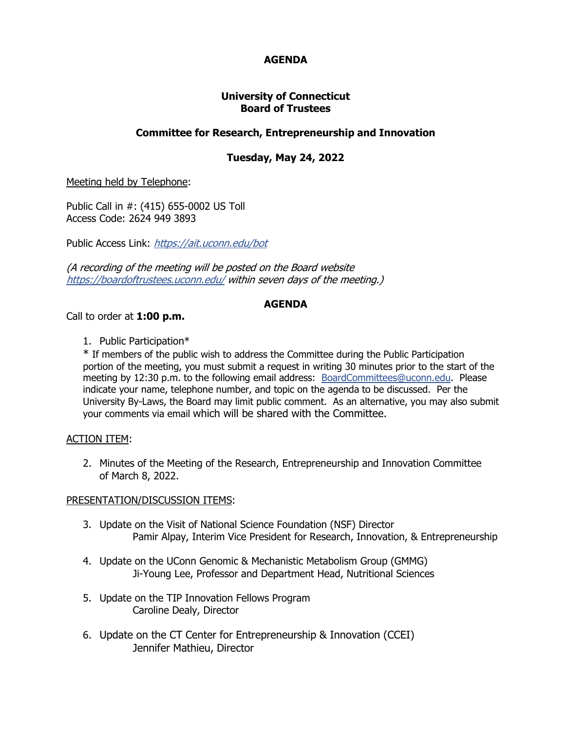# **AGENDA**

## **University of Connecticut Board of Trustees**

## **Committee for Research, Entrepreneurship and Innovation**

# **Tuesday, May 24, 2022**

Meeting held by Telephone:

Public Call in #: (415) 655-0002 US Toll Access Code: 2624 949 3893

Public Access Link: <https://ait.uconn.edu/bot>

(A recording of the meeting will be posted on the Board website <https://boardoftrustees.uconn.edu/>within seven days of the meeting.)

## **AGENDA**

Call to order at **1:00 p.m.**

1. Public Participation\*

\* If members of the public wish to address the Committee during the Public Participation portion of the meeting, you must submit a request in writing 30 minutes prior to the start of the meeting by 12:30 p.m. to the following email address: [BoardCommittees@uconn.edu.](mailto:BoardCommittees@uconn.edu) Please indicate your name, telephone number, and topic on the agenda to be discussed. Per the University By-Laws, the Board may limit public comment. As an alternative, you may also submit your comments via email which will be shared with the Committee.

## ACTION ITEM:

2. Minutes of the Meeting of the Research, Entrepreneurship and Innovation Committee of March 8, 2022.

#### PRESENTATION/DISCUSSION ITEMS:

- 3. Update on the Visit of National Science Foundation (NSF) Director Pamir Alpay, Interim Vice President for Research, Innovation, & Entrepreneurship
- 4. Update on the UConn Genomic & Mechanistic Metabolism Group (GMMG) Ji-Young Lee, Professor and Department Head, Nutritional Sciences
- 5. Update on the TIP Innovation Fellows Program Caroline Dealy, Director
- 6. Update on the CT Center for Entrepreneurship & Innovation (CCEI) Jennifer Mathieu, Director